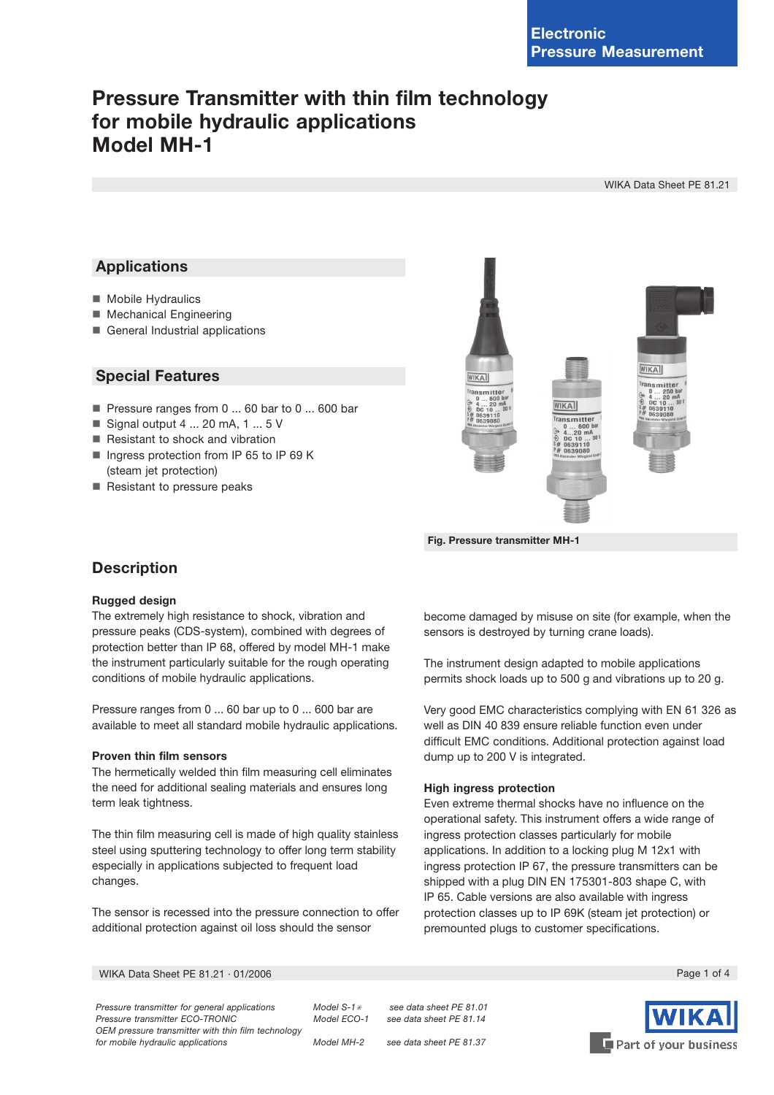# **Pressure Transmitter with thin film technology** for mobile hydraulic applications Model MH-1

WIKA Data Sheet PE 81.21

### **Applications**

- Mobile Hydraulics
- Mechanical Engineering
- General Industrial applications

### **Special Features**

- Pressure ranges from 0 ... 60 bar to 0 ... 600 bar
- Signal output  $4 \dots 20$  mA,  $1 \dots 5$  V
- Resistant to shock and vibration
- Inqress protection from IP 65 to IP 69 K (steam jet protection)
- Resistant to pressure peaks



Fig. Pressure transmitter MH-1

### **Description**

### **Rugged design**

The extremely high resistance to shock, vibration and pressure peaks (CDS-system), combined with degrees of protection better than IP 68, offered by model MH-1 make the instrument particularly suitable for the rough operating conditions of mobile hydraulic applications.

Pressure ranges from 0 ... 60 bar up to 0 ... 600 bar are available to meet all standard mobile hydraulic applications.

### Proven thin film sensors

The hermetically welded thin film measuring cell eliminates the need for additional sealing materials and ensures long term leak tightness.

The thin film measuring cell is made of high quality stainless steel using sputtering technology to offer long term stability especially in applications subjected to frequent load changes.

The sensor is recessed into the pressure connection to offer additional protection against oil loss should the sensor

become damaged by misuse on site (for example, when the sensors is destroyed by turning crane loads).

The instrument design adapted to mobile applications permits shock loads up to 500 g and vibrations up to 20 g.

Very good EMC characteristics complying with EN 61 326 as well as DIN 40 839 ensure reliable function even under difficult EMC conditions. Additional protection against load dump up to 200 V is integrated.

### **High ingress protection**

Even extreme thermal shocks have no influence on the operational safety. This instrument offers a wide range of ingress protection classes particularly for mobile applications. In addition to a locking plug M 12x1 with ingress protection IP 67, the pressure transmitters can be shipped with a plug DIN EN 175301-803 shape C, with IP 65. Cable versions are also available with ingress protection classes up to IP 69K (steam jet protection) or premounted plugs to customer specifications.

WIKA Data Sheet PE 81.21 · 01/2006

Pressure transmitter for general applications Pressure transmitter ECO-TRONIC OEM pressure transmitter with thin film technology for mobile hydraulic applications

Model  $S-1*$ Model ECO-1

Model MH-2

see data sheet PF 81 01 see data sheet PE 81.14

see data sheet PE 81.37



Page 1 of 4

Part of your business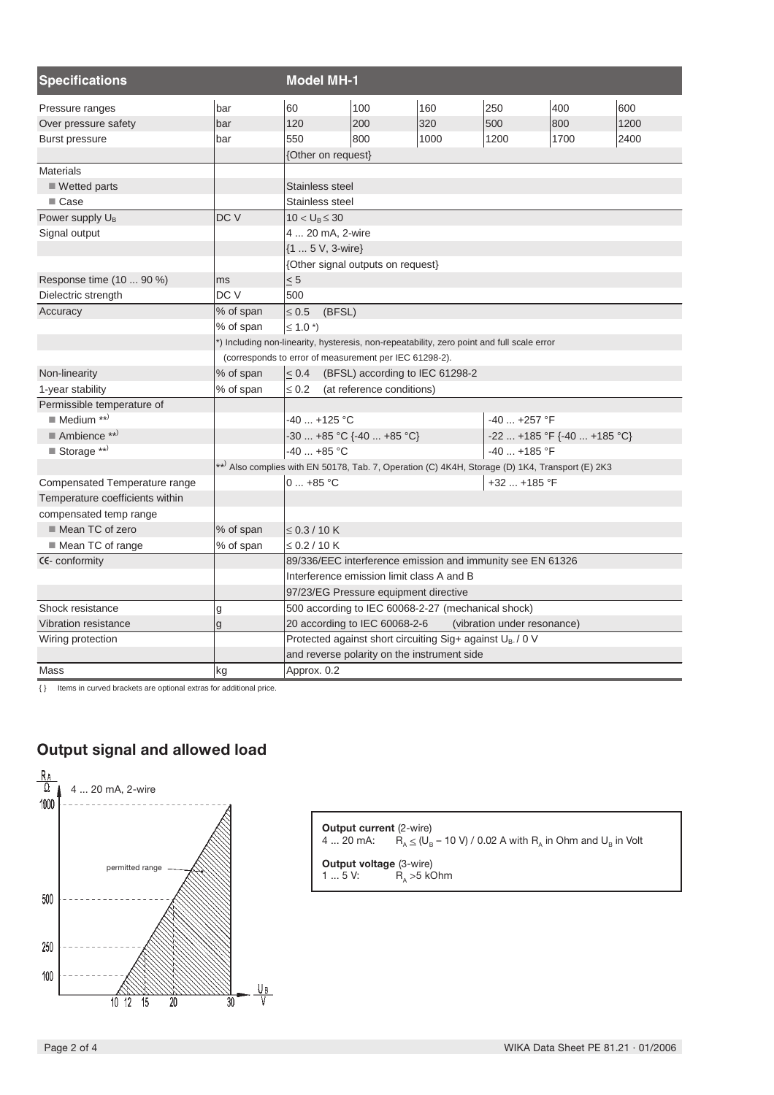| <b>Specifications</b>           |                                                                                           | <b>Model MH-1</b>                                                                               |                                   |      |              |      |      |  |
|---------------------------------|-------------------------------------------------------------------------------------------|-------------------------------------------------------------------------------------------------|-----------------------------------|------|--------------|------|------|--|
| Pressure ranges                 | bar                                                                                       | 60                                                                                              | 100                               | 160  | 250          | 400  | 600  |  |
| Over pressure safety            | bar                                                                                       | 120                                                                                             | 200                               | 320  | 500          | 800  | 1200 |  |
| <b>Burst pressure</b>           | bar                                                                                       | 550                                                                                             | 800                               | 1000 | 1200         | 1700 | 2400 |  |
|                                 |                                                                                           | {Other on request}                                                                              |                                   |      |              |      |      |  |
| <b>Materials</b>                |                                                                                           |                                                                                                 |                                   |      |              |      |      |  |
| $\blacksquare$ Wetted parts     |                                                                                           | Stainless steel                                                                                 |                                   |      |              |      |      |  |
| ■ Case                          |                                                                                           | Stainless steel                                                                                 |                                   |      |              |      |      |  |
| Power supply U <sub>B</sub>     | DC V                                                                                      | $10 < U_B \leq 30$                                                                              |                                   |      |              |      |      |  |
| Signal output                   |                                                                                           | 4  20 mA, 2-wire                                                                                |                                   |      |              |      |      |  |
|                                 |                                                                                           | {1  5 V, 3-wire}                                                                                |                                   |      |              |      |      |  |
|                                 |                                                                                           |                                                                                                 | {Other signal outputs on request} |      |              |      |      |  |
| Response time (10  90 %)        | ms                                                                                        | $\leq 5$                                                                                        |                                   |      |              |      |      |  |
| Dielectric strength             | DC V                                                                                      | 500                                                                                             |                                   |      |              |      |      |  |
| Accuracy                        | % of span                                                                                 | $\leq 0.5$<br>(BFSL)                                                                            |                                   |      |              |      |      |  |
|                                 | % of span                                                                                 | $\leq 1.0$ *)                                                                                   |                                   |      |              |      |      |  |
|                                 | ) Including non-linearity, hysteresis, non-repeatability, zero point and full scale error |                                                                                                 |                                   |      |              |      |      |  |
|                                 | (corresponds to error of measurement per IEC 61298-2).                                    |                                                                                                 |                                   |      |              |      |      |  |
| Non-linearity                   | % of span                                                                                 | < 0.4<br>(BFSL) according to IEC 61298-2                                                        |                                   |      |              |      |      |  |
| 1-year stability                | % of span                                                                                 | $\leq 0.2$<br>(at reference conditions)                                                         |                                   |      |              |      |      |  |
| Permissible temperature of      |                                                                                           |                                                                                                 |                                   |      |              |      |      |  |
| $\blacksquare$ Medium **)       |                                                                                           | $-40$ +125 °C<br>$-40$ $+257$ °F                                                                |                                   |      |              |      |      |  |
| $\blacksquare$ Ambience **)     |                                                                                           | $-30$ +85 °C {-40  +85 °C}<br>$-22$ +185 °F {-40  +185 °C}                                      |                                   |      |              |      |      |  |
| $\blacksquare$ Storage **)      |                                                                                           | $-40$ $+85$ °C                                                                                  |                                   |      | $-40+185$ °F |      |      |  |
|                                 |                                                                                           | **) Also complies with EN 50178, Tab. 7, Operation (C) 4K4H, Storage (D) 1K4, Transport (E) 2K3 |                                   |      |              |      |      |  |
| Compensated Temperature range   |                                                                                           | $0+85 °C$                                                                                       |                                   |      | +32  +185 °F |      |      |  |
| Temperature coefficients within |                                                                                           |                                                                                                 |                                   |      |              |      |      |  |
| compensated temp range          |                                                                                           |                                                                                                 |                                   |      |              |      |      |  |
| Mean TC of zero                 | % of span                                                                                 | $\leq$ 0.3 / 10 K                                                                               |                                   |      |              |      |      |  |
| ■ Mean TC of range              | % of span                                                                                 | $\leq$ 0.2 / 10 K                                                                               |                                   |      |              |      |      |  |
| CE-conformity                   |                                                                                           | 89/336/EEC interference emission and immunity see EN 61326                                      |                                   |      |              |      |      |  |
|                                 |                                                                                           | Interference emission limit class A and B                                                       |                                   |      |              |      |      |  |
|                                 |                                                                                           | 97/23/EG Pressure equipment directive                                                           |                                   |      |              |      |      |  |
| Shock resistance                | g                                                                                         | 500 according to IEC 60068-2-27 (mechanical shock)                                              |                                   |      |              |      |      |  |
| Vibration resistance            | g                                                                                         | 20 according to IEC 60068-2-6<br>(vibration under resonance)                                    |                                   |      |              |      |      |  |
| Wiring protection               |                                                                                           | Protected against short circuiting Sig+ against U <sub>B-</sub> /0 V                            |                                   |      |              |      |      |  |
|                                 |                                                                                           | and reverse polarity on the instrument side                                                     |                                   |      |              |      |      |  |
| Mass                            | kg                                                                                        | Approx. 0.2                                                                                     |                                   |      |              |      |      |  |

{ } Items in curved brackets are optional extras for additional price.

# Output signal and allowed load



| <b>Output current</b> (2-wire)                       | 4  20 mA: $R_a \le (U_B - 10 \text{ V}) / 0.02 \text{ A with } R_a$ in Ohm and $U_B$ in Volt |  |  |
|------------------------------------------------------|----------------------------------------------------------------------------------------------|--|--|
| <b>Output voltage (3-wire)</b><br>R, >5 kOhm<br>15V: |                                                                                              |  |  |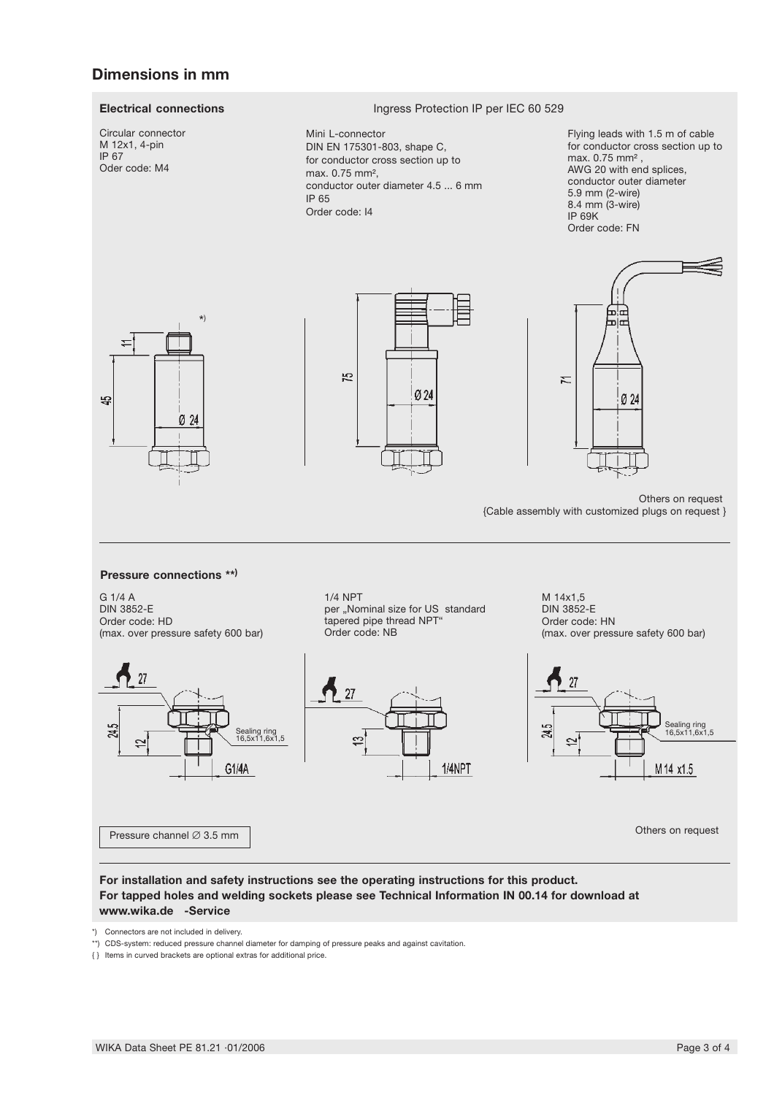### **Dimensions in mm**

### **Electrical connections**

Circular connector M 12x1, 4-pin IP 67 Oder code: M4

#### Ingress Protection IP per IEC 60 529

Mini L-connector DIN EN 175301-803, shape C, for conductor cross section up to max, 0.75 mm<sup>2</sup>. conductor outer diameter 4.5 ... 6 mm IP 65 Order code: 14

Flying leads with 1.5 m of cable for conductor cross section up to max. 0.75 mm<sup>2</sup>, AWG 20 with end splices, conductor outer diameter 5.9 mm (2-wire) 8.4 mm (3-wire)  $IP$  69K Order code: FN





Others on request

{Cable assembly with customized plugs on request }

ی اس

Ø 24

ᆈ İπ

Σ

#### Pressure connections \*\*)

G 1/4 A **DIN 3852-E** Order code: HD (max. over pressure safety 600 bar)



Pressure channel Ø 3.5 mm

**1/4 NPT** per "Nominal size for US standard tapered pipe thread NPT Order code: NB



M 14x1,5 **DIN 3852-E** Order code: HN (max. over pressure safety 600 bar)



Others on request

### For installation and safety instructions see the operating instructions for this product. For tapped holes and welding sockets please see Technical Information IN 00.14 for download at www.wika.de -Service

\*) Connectors are not included in delivery.

\*\*) CDS-system: reduced pressure channel diameter for damping of pressure peaks and against cavitation.

{} Items in curved brackets are optional extras for additional price.